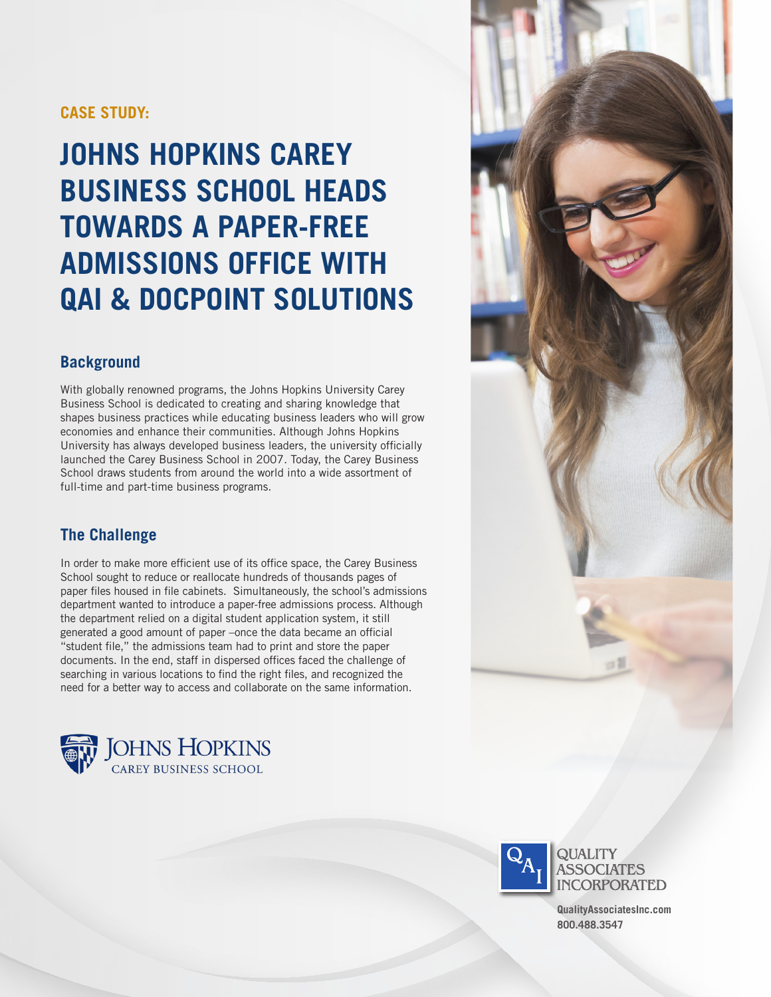## **CASE STUDY:**

# **JOHNS HOPKINS CAREY BUSINESS SCHOOL HEADS TOWARDS A PAPER-FREE ADMISSIONS OFFICE WITH QAI & DOCPOINT SOLUTIONS**

## **Background**

With globally renowned programs, the Johns Hopkins University Carey Business School is dedicated to creating and sharing knowledge that shapes business practices while educating business leaders who will grow economies and enhance their communities. Although Johns Hopkins University has always developed business leaders, the university officially launched the Carey Business School in 2007. Today, the Carey Business School draws students from around the world into a wide assortment of full-time and part-time business programs.

### **The Challenge**

In order to make more efficient use of its office space, the Carey Business School sought to reduce or reallocate hundreds of thousands pages of paper files housed in file cabinets. Simultaneously, the school's admissions department wanted to introduce a paper-free admissions process. Although the department relied on a digital student application system, it still generated a good amount of paper –once the data became an official "student file," the admissions team had to print and store the paper documents. In the end, staff in dispersed offices faced the challenge of searching in various locations to find the right files, and recognized the need for a better way to access and collaborate on the same information.







**QualityAssociatesInc.com 800.488.3547**